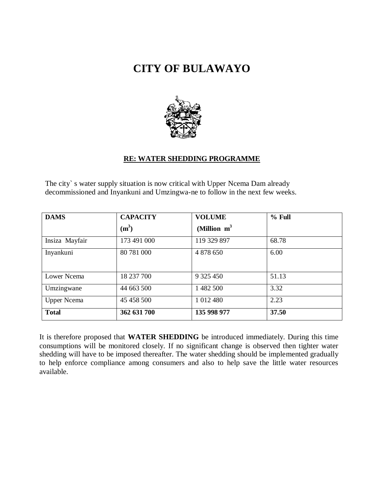## **CITY OF BULAWAYO**



## **RE: WATER SHEDDING PROGRAMME**

The city` s water supply situation is now critical with Upper Ncema Dam already decommissioned and Inyankuni and Umzingwa-ne to follow in the next few weeks.

| <b>DAMS</b>        | <b>CAPACITY</b> | <b>VOLUME</b>  | $%$ Full |
|--------------------|-----------------|----------------|----------|
|                    | $(m^3)$         | (Million $m^3$ |          |
| Insiza Mayfair     | 173 491 000     | 119 329 897    | 68.78    |
| Inyankuni          | 80 781 000      | 4 878 650      | 6.00     |
| Lower Ncema        | 18 237 700      | 9 325 450      | 51.13    |
| Umzingwane         | 44 663 500      | 1 482 500      | 3.32     |
| <b>Upper Ncema</b> | 45 458 500      | 1 012 480      | 2.23     |
| <b>Total</b>       | 362 631 700     | 135 998 977    | 37.50    |

It is therefore proposed that **WATER SHEDDING** be introduced immediately. During this time consumptions will be monitored closely. If no significant change is observed then tighter water shedding will have to be imposed thereafter. The water shedding should be implemented gradually to help enforce compliance among consumers and also to help save the little water resources available.